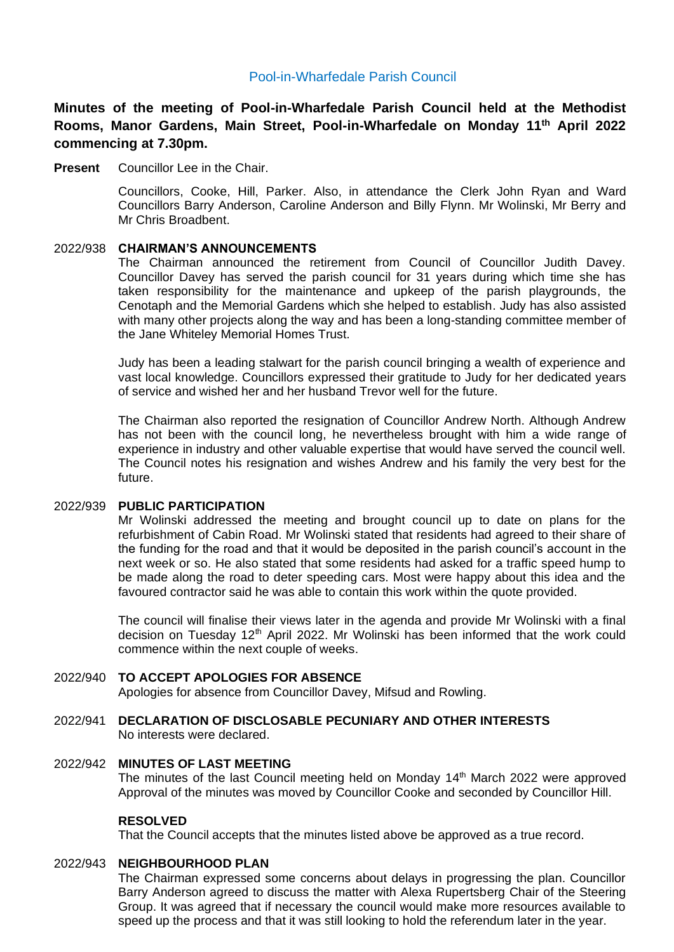# Pool-in-Wharfedale Parish Council

**Minutes of the meeting of Pool-in-Wharfedale Parish Council held at the Methodist Rooms, Manor Gardens, Main Street, Pool-in-Wharfedale on Monday 11 th April 2022 commencing at 7.30pm.** 

**Present** Councillor Lee in the Chair.

Councillors, Cooke, Hill, Parker. Also, in attendance the Clerk John Ryan and Ward Councillors Barry Anderson, Caroline Anderson and Billy Flynn. Mr Wolinski, Mr Berry and Mr Chris Broadbent.

### 2022/938 **CHAIRMAN'S ANNOUNCEMENTS**

The Chairman announced the retirement from Council of Councillor Judith Davey. Councillor Davey has served the parish council for 31 years during which time she has taken responsibility for the maintenance and upkeep of the parish playgrounds, the Cenotaph and the Memorial Gardens which she helped to establish. Judy has also assisted with many other projects along the way and has been a long-standing committee member of the Jane Whiteley Memorial Homes Trust.

Judy has been a leading stalwart for the parish council bringing a wealth of experience and vast local knowledge. Councillors expressed their gratitude to Judy for her dedicated years of service and wished her and her husband Trevor well for the future.

The Chairman also reported the resignation of Councillor Andrew North. Although Andrew has not been with the council long, he nevertheless brought with him a wide range of experience in industry and other valuable expertise that would have served the council well. The Council notes his resignation and wishes Andrew and his family the very best for the future.

#### 2022/939 **PUBLIC PARTICIPATION**

Mr Wolinski addressed the meeting and brought council up to date on plans for the refurbishment of Cabin Road. Mr Wolinski stated that residents had agreed to their share of the funding for the road and that it would be deposited in the parish council's account in the next week or so. He also stated that some residents had asked for a traffic speed hump to be made along the road to deter speeding cars. Most were happy about this idea and the favoured contractor said he was able to contain this work within the quote provided.

The council will finalise their views later in the agenda and provide Mr Wolinski with a final decision on Tuesday 12<sup>th</sup> April 2022. Mr Wolinski has been informed that the work could commence within the next couple of weeks.

### 2022/940 **TO ACCEPT APOLOGIES FOR ABSENCE**

Apologies for absence from Councillor Davey, Mifsud and Rowling.

2022/941 **DECLARATION OF DISCLOSABLE PECUNIARY AND OTHER INTERESTS** No interests were declared.

### 2022/942 **MINUTES OF LAST MEETING**

The minutes of the last Council meeting held on Monday 14<sup>th</sup> March 2022 were approved Approval of the minutes was moved by Councillor Cooke and seconded by Councillor Hill.

#### **RESOLVED**

That the Council accepts that the minutes listed above be approved as a true record.

### 2022/943 **NEIGHBOURHOOD PLAN**

The Chairman expressed some concerns about delays in progressing the plan. Councillor Barry Anderson agreed to discuss the matter with Alexa Rupertsberg Chair of the Steering Group. It was agreed that if necessary the council would make more resources available to speed up the process and that it was still looking to hold the referendum later in the year.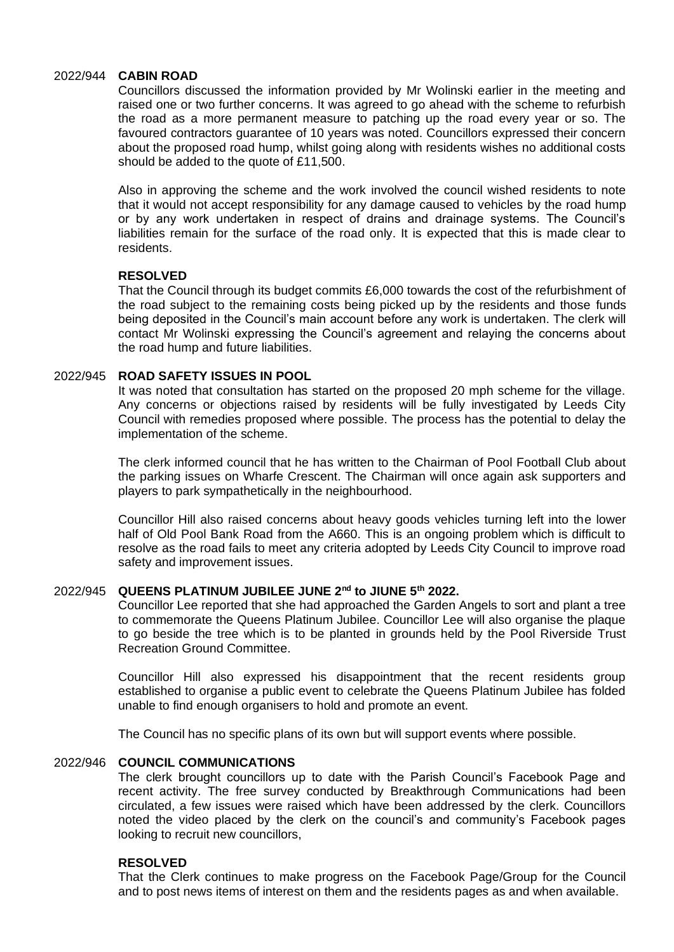#### 2022/944 **CABIN ROAD**

Councillors discussed the information provided by Mr Wolinski earlier in the meeting and raised one or two further concerns. It was agreed to go ahead with the scheme to refurbish the road as a more permanent measure to patching up the road every year or so. The favoured contractors guarantee of 10 years was noted. Councillors expressed their concern about the proposed road hump, whilst going along with residents wishes no additional costs should be added to the quote of £11,500.

Also in approving the scheme and the work involved the council wished residents to note that it would not accept responsibility for any damage caused to vehicles by the road hump or by any work undertaken in respect of drains and drainage systems. The Council's liabilities remain for the surface of the road only. It is expected that this is made clear to residents.

### **RESOLVED**

That the Council through its budget commits £6,000 towards the cost of the refurbishment of the road subject to the remaining costs being picked up by the residents and those funds being deposited in the Council's main account before any work is undertaken. The clerk will contact Mr Wolinski expressing the Council's agreement and relaying the concerns about the road hump and future liabilities.

#### 2022/945 **ROAD SAFETY ISSUES IN POOL**

It was noted that consultation has started on the proposed 20 mph scheme for the village. Any concerns or objections raised by residents will be fully investigated by Leeds City Council with remedies proposed where possible. The process has the potential to delay the implementation of the scheme.

The clerk informed council that he has written to the Chairman of Pool Football Club about the parking issues on Wharfe Crescent. The Chairman will once again ask supporters and players to park sympathetically in the neighbourhood.

Councillor Hill also raised concerns about heavy goods vehicles turning left into the lower half of Old Pool Bank Road from the A660. This is an ongoing problem which is difficult to resolve as the road fails to meet any criteria adopted by Leeds City Council to improve road safety and improvement issues.

# 2022/945 **QUEENS PLATINUM JUBILEE JUNE 2nd to JIUNE 5th 2022.**

Councillor Lee reported that she had approached the Garden Angels to sort and plant a tree to commemorate the Queens Platinum Jubilee. Councillor Lee will also organise the plaque to go beside the tree which is to be planted in grounds held by the Pool Riverside Trust Recreation Ground Committee.

Councillor Hill also expressed his disappointment that the recent residents group established to organise a public event to celebrate the Queens Platinum Jubilee has folded unable to find enough organisers to hold and promote an event.

The Council has no specific plans of its own but will support events where possible.

# 2022/946 **COUNCIL COMMUNICATIONS**

The clerk brought councillors up to date with the Parish Council's Facebook Page and recent activity. The free survey conducted by Breakthrough Communications had been circulated, a few issues were raised which have been addressed by the clerk. Councillors noted the video placed by the clerk on the council's and community's Facebook pages looking to recruit new councillors,

### **RESOLVED**

That the Clerk continues to make progress on the Facebook Page/Group for the Council and to post news items of interest on them and the residents pages as and when available.